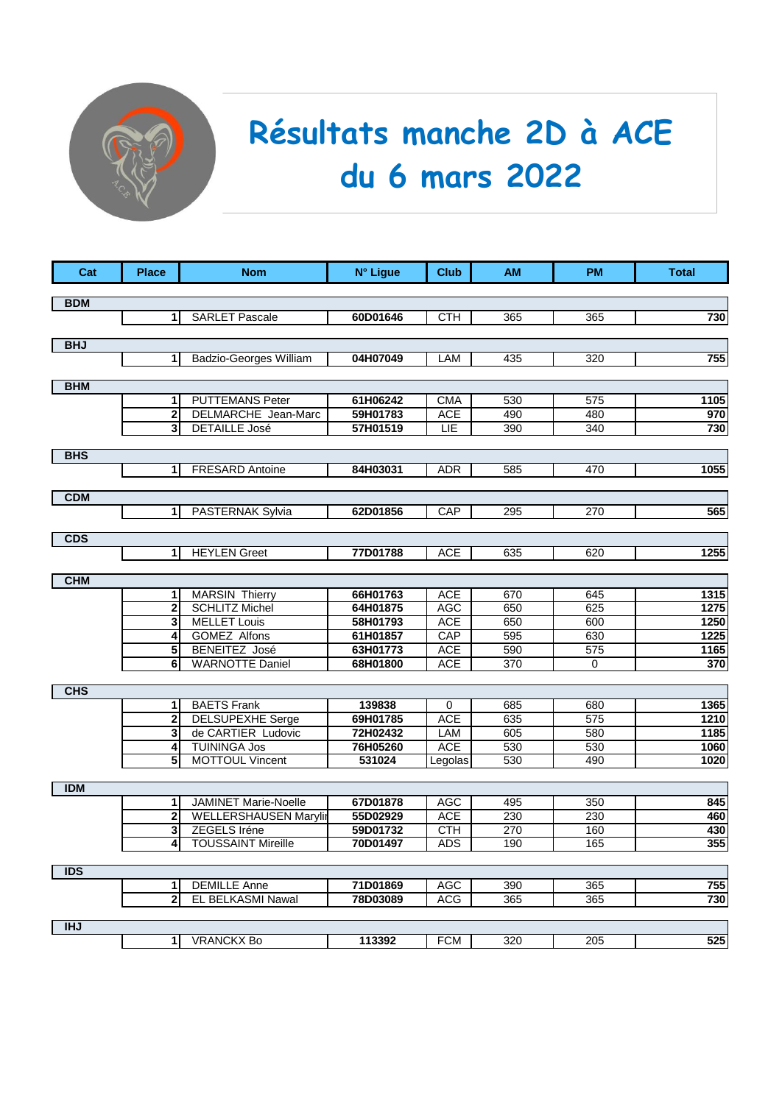

## **Résultats manche 2D à ACE du 6 mars 2022**

| Cat        | <b>Place</b>        | <b>Nom</b>                                    | N° Ligue             | <b>Club</b>              | <b>AM</b>  | <b>PM</b>  | <b>Total</b> |
|------------|---------------------|-----------------------------------------------|----------------------|--------------------------|------------|------------|--------------|
|            |                     |                                               |                      |                          |            |            |              |
| <b>BDM</b> |                     |                                               |                      |                          |            |            |              |
|            | 1                   | <b>SARLET Pascale</b>                         | 60D01646             | <b>CTH</b>               | 365        | 365        | 730          |
| <b>BHJ</b> |                     |                                               |                      |                          |            |            |              |
|            | 1                   | <b>Badzio-Georges William</b>                 | 04H07049             | LAM                      | 435        | 320        | 755          |
|            |                     |                                               |                      |                          |            |            |              |
| <b>BHM</b> |                     |                                               |                      |                          |            |            |              |
|            | 1<br>2              | <b>PUTTEMANS Peter</b><br>DELMARCHE Jean-Marc | 61H06242<br>59H01783 | <b>CMA</b><br><b>ACE</b> | 530<br>490 | 575<br>480 | 1105<br>970  |
|            | 3                   | <b>DETAILLE José</b>                          | 57H01519             | LIE                      | 390        | 340        | 730          |
|            |                     |                                               |                      |                          |            |            |              |
| <b>BHS</b> |                     |                                               |                      |                          |            |            |              |
|            | $\mathbf{1}$        | <b>FRESARD Antoine</b>                        | 84H03031             | <b>ADR</b>               | 585        | 470        | 1055         |
|            |                     |                                               |                      |                          |            |            |              |
| <b>CDM</b> |                     |                                               |                      |                          |            |            |              |
|            | $\mathbf{1}$        | <b>PASTERNAK Sylvia</b>                       | 62D01856             | CAP                      | 295        | 270        | 565          |
| <b>CDS</b> |                     |                                               |                      |                          |            |            |              |
|            | 1                   | <b>HEYLEN Greet</b>                           | 77D01788             | <b>ACE</b>               | 635        | 620        | 1255         |
|            |                     |                                               |                      |                          |            |            |              |
| <b>CHM</b> |                     |                                               |                      |                          |            |            |              |
|            | 1                   | <b>MARSIN Thierry</b>                         | 66H01763             | <b>ACE</b>               | 670        | 645        | 1315         |
|            | $\overline{2}$      | <b>SCHLITZ Michel</b>                         | 64H01875             | <b>AGC</b>               | 650        | 625        | 1275         |
|            | 3                   | <b>MELLET Louis</b>                           | 58H01793             | <b>ACE</b>               | 650        | 600        | 1250         |
|            | 4                   | <b>GOMEZ Alfons</b><br><b>BENEITEZ José</b>   | 61H01857<br>63H01773 | CAP<br><b>ACE</b>        | 595        | 630<br>575 | 1225<br>1165 |
|            | 5<br>6              | <b>WARNOTTE Daniel</b>                        | 68H01800             | <b>ACE</b>               | 590<br>370 | 0          | 370          |
|            |                     |                                               |                      |                          |            |            |              |
| <b>CHS</b> |                     |                                               |                      |                          |            |            |              |
|            | 1                   | <b>BAETS Frank</b>                            | 139838               | 0                        | 685        | 680        | 1365         |
|            | $\mathbf 2$         | <b>DELSUPEXHE</b> Serge                       | 69H01785             | <b>ACE</b>               | 635        | 575        | 1210         |
|            | 3                   | de CARTIER Ludovic                            | 72H02432             | LAM                      | 605        | 580        | 1185         |
|            | 4                   | <b>TUININGA Jos</b>                           | 76H05260             | <b>ACE</b>               | 530        | 530        | 1060         |
|            | 5                   | <b>MOTTOUL Vincent</b>                        | 531024               | Legolas                  | 530        | 490        | 1020         |
| <b>IDM</b> |                     |                                               |                      |                          |            |            |              |
|            | 1                   | JAMINET Marie-Noelle                          | 67D01878             | <b>AGC</b>               | 495        | 350        | 845          |
|            | 2                   | <b>WELLERSHAUSEN Marylin</b>                  | 55D02929             | <b>ACE</b>               | 230        | 230        | 460          |
|            | 3                   | ZEGELS Iréne                                  | 59D01732             | CTH                      | 270        | 160        | 430          |
|            | 4                   | <b>TOUSSAINT Mireille</b>                     | 70D01497             | <b>ADS</b>               | 190        | 165        | 355          |
|            |                     |                                               |                      |                          |            |            |              |
| IDS        |                     |                                               |                      |                          |            |            |              |
|            | 1<br>$\overline{2}$ | <b>DEMILLE Anne</b><br>EL BELKASMI Nawal      | 71D01869<br>78D03089 | AGC<br><b>ACG</b>        | 390<br>365 | 365<br>365 | 755<br>730   |
|            |                     |                                               |                      |                          |            |            |              |
| <b>IHJ</b> |                     |                                               |                      |                          |            |            |              |
|            | 1                   | <b>VRANCKX Bo</b>                             | 113392               | <b>FCM</b>               | 320        | 205        | 525          |
|            |                     |                                               |                      |                          |            |            |              |